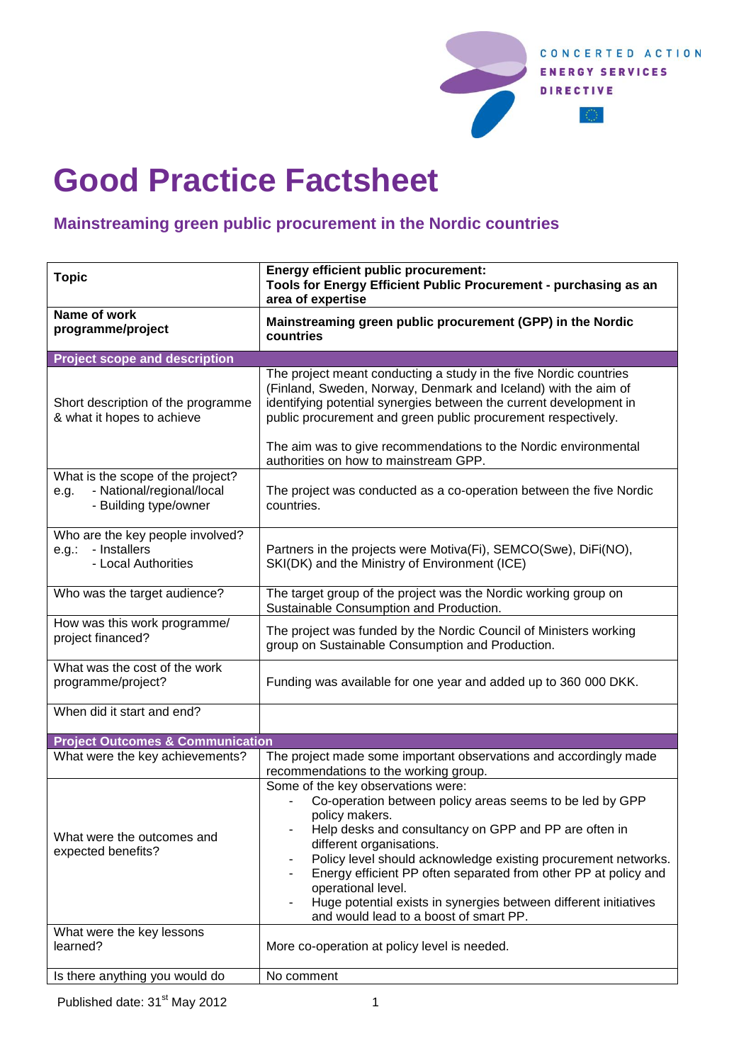

## **Good Practice Factsheet**

## **Mainstreaming green public procurement in the Nordic countries**

| <b>Topic</b>                                                                                    | <b>Energy efficient public procurement:</b><br>Tools for Energy Efficient Public Procurement - purchasing as an<br>area of expertise                                                                                                                                                                                                                                                                                                                                           |  |
|-------------------------------------------------------------------------------------------------|--------------------------------------------------------------------------------------------------------------------------------------------------------------------------------------------------------------------------------------------------------------------------------------------------------------------------------------------------------------------------------------------------------------------------------------------------------------------------------|--|
| Name of work<br>programme/project                                                               | Mainstreaming green public procurement (GPP) in the Nordic<br>countries                                                                                                                                                                                                                                                                                                                                                                                                        |  |
| <b>Project scope and description</b>                                                            |                                                                                                                                                                                                                                                                                                                                                                                                                                                                                |  |
| Short description of the programme<br>& what it hopes to achieve                                | The project meant conducting a study in the five Nordic countries<br>(Finland, Sweden, Norway, Denmark and Iceland) with the aim of<br>identifying potential synergies between the current development in<br>public procurement and green public procurement respectively.<br>The aim was to give recommendations to the Nordic environmental                                                                                                                                  |  |
|                                                                                                 | authorities on how to mainstream GPP.                                                                                                                                                                                                                                                                                                                                                                                                                                          |  |
| What is the scope of the project?<br>- National/regional/local<br>e.g.<br>- Building type/owner | The project was conducted as a co-operation between the five Nordic<br>countries.                                                                                                                                                                                                                                                                                                                                                                                              |  |
| Who are the key people involved?<br>- Installers<br>$e.g.$ :<br>- Local Authorities             | Partners in the projects were Motiva(Fi), SEMCO(Swe), DiFi(NO),<br>SKI(DK) and the Ministry of Environment (ICE)                                                                                                                                                                                                                                                                                                                                                               |  |
| Who was the target audience?                                                                    | The target group of the project was the Nordic working group on<br>Sustainable Consumption and Production.                                                                                                                                                                                                                                                                                                                                                                     |  |
| How was this work programme/<br>project financed?                                               | The project was funded by the Nordic Council of Ministers working<br>group on Sustainable Consumption and Production.                                                                                                                                                                                                                                                                                                                                                          |  |
| What was the cost of the work<br>programme/project?                                             | Funding was available for one year and added up to 360 000 DKK.                                                                                                                                                                                                                                                                                                                                                                                                                |  |
| When did it start and end?                                                                      |                                                                                                                                                                                                                                                                                                                                                                                                                                                                                |  |
| <b>Project Outcomes &amp; Communication</b>                                                     |                                                                                                                                                                                                                                                                                                                                                                                                                                                                                |  |
| What were the key achievements?                                                                 | The project made some important observations and accordingly made<br>recommendations to the working group.                                                                                                                                                                                                                                                                                                                                                                     |  |
| What were the outcomes and<br>expected benefits?                                                | Some of the key observations were:<br>Co-operation between policy areas seems to be led by GPP<br>policy makers.<br>Help desks and consultancy on GPP and PP are often in<br>different organisations.<br>Policy level should acknowledge existing procurement networks.<br>Energy efficient PP often separated from other PP at policy and<br>operational level.<br>Huge potential exists in synergies between different initiatives<br>and would lead to a boost of smart PP. |  |
| What were the key lessons                                                                       |                                                                                                                                                                                                                                                                                                                                                                                                                                                                                |  |
| learned?                                                                                        | More co-operation at policy level is needed.                                                                                                                                                                                                                                                                                                                                                                                                                                   |  |
| Is there anything you would do                                                                  | No comment                                                                                                                                                                                                                                                                                                                                                                                                                                                                     |  |